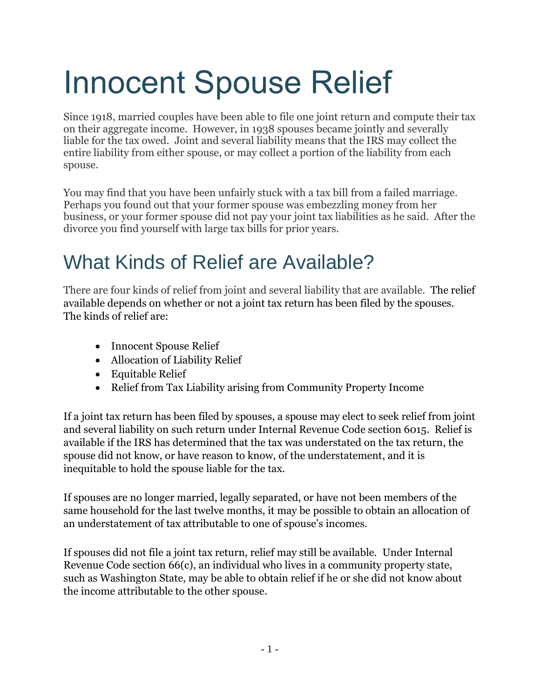# Innocent Spouse Relief

Since 1918, married couples have been able to file one joint return and compute their tax on their aggregate income. However, in 1938 spouses became jointly and severally liable for the tax owed. Joint and several liability means that the IRS may collect the entire liability from either spouse, or may collect a portion of the liability from each spouse.

You may find that you have been unfairly stuck with a tax bill from a failed marriage. Perhaps you found out that your former spouse was embezzling money from her business, or your former spouse did not pay your joint tax liabilities as he said. After the divorce you find yourself with large tax bills for prior years.

## What Kinds of Relief are Available?

There are four kinds of relief from joint and several liability that are available. The relief available depends on whether or not a joint tax return has been filed by the spouses. The kinds of relief are:

- Innocent Spouse Relief
- Allocation of Liability Relief
- Equitable Relief
- Relief from Tax Liability arising from Community Property Income

If a joint tax return has been filed by spouses, a spouse may elect to seek relief from joint and several liability on such return under Internal Revenue Code section 6015. Relief is available if the IRS has determined that the tax was understated on the tax return, the spouse did not know, or have reason to know, of the understatement, and it is inequitable to hold the spouse liable for the tax.

If spouses are no longer married, legally separated, or have not been members of the same household for the last twelve months, it may be possible to obtain an allocation of an understatement of tax attributable to one of spouse's incomes.

If spouses did not file a joint tax return, relief may still be available. Under Internal Revenue Code section 66(c), an individual who lives in a community property state, such as Washington State, may be able to obtain relief if he or she did not know about the income attributable to the other spouse.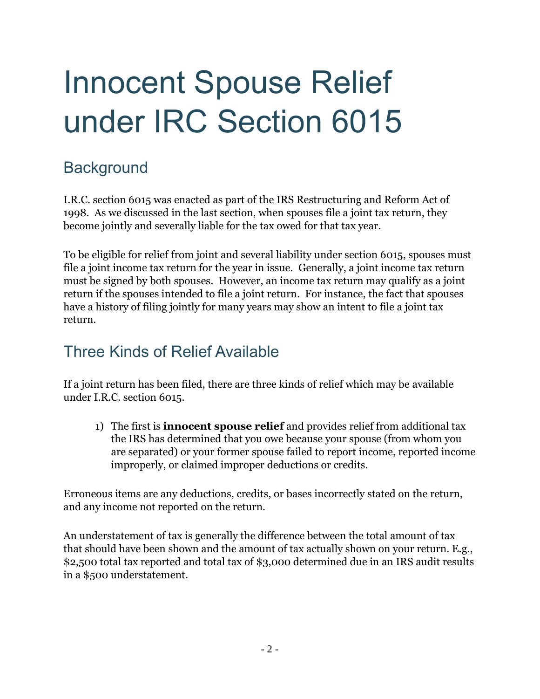# Innocent Spouse Relief under IRC Section 6015

### **Background**

I.R.C. section 6015 was enacted as part of the IRS Restructuring and Reform Act of 1998. As we discussed in the last section, when spouses file a joint tax return, they become jointly and severally liable for the tax owed for that tax year.

To be eligible for relief from joint and several liability under section 6015, spouses must file a joint income tax return for the year in issue. Generally, a joint income tax return must be signed by both spouses. However, an income tax return may qualify as a joint return if the spouses intended to file a joint return. For instance, the fact that spouses have a history of filing jointly for many years may show an intent to file a joint tax return.

### Three Kinds of Relief Available

If a joint return has been filed, there are three kinds of relief which may be available under I.R.C. section 6015.

1) The first is **innocent spouse relief** and provides relief from additional tax the IRS has determined that you owe because your spouse (from whom you are separated) or your former spouse failed to report income, reported income improperly, or claimed improper deductions or credits.

Erroneous items are any deductions, credits, or bases incorrectly stated on the return, and any income not reported on the return.

An understatement of tax is generally the difference between the total amount of tax that should have been shown and the amount of tax actually shown on your return. E.g., \$2,500 total tax reported and total tax of \$3,000 determined due in an IRS audit results in a \$500 understatement.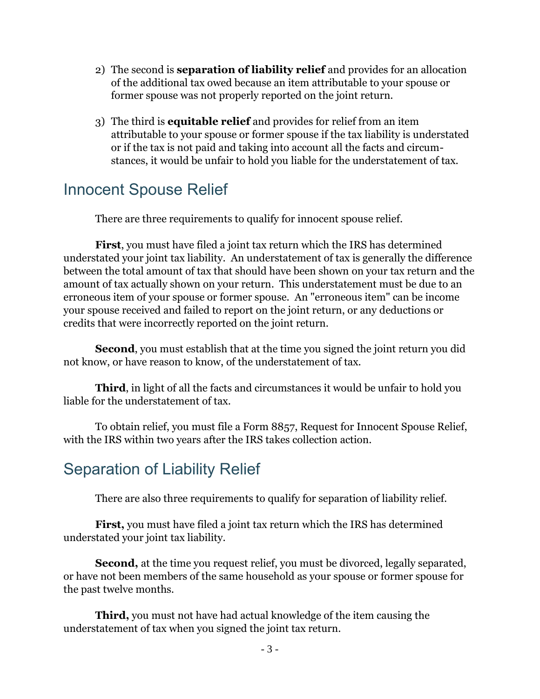- 2) The second is **separation of liability relief** and provides for an allocation of the additional tax owed because an item attributable to your spouse or former spouse was not properly reported on the joint return.
- 3) The third is **equitable relief** and provides for relief from an item attributable to your spouse or former spouse if the tax liability is understated or if the tax is not paid and taking into account all the facts and circumstances, it would be unfair to hold you liable for the understatement of tax.

### Innocent Spouse Relief

There are three requirements to qualify for innocent spouse relief.

**First**, you must have filed a joint tax return which the IRS has determined understated your joint tax liability. An understatement of tax is generally the difference between the total amount of tax that should have been shown on your tax return and the amount of tax actually shown on your return. This understatement must be due to an erroneous item of your spouse or former spouse. An "erroneous item" can be income your spouse received and failed to report on the joint return, or any deductions or credits that were incorrectly reported on the joint return.

**Second**, you must establish that at the time you signed the joint return you did not know, or have reason to know, of the understatement of tax.

**Third**, in light of all the facts and circumstances it would be unfair to hold you liable for the understatement of tax.

To obtain relief, you must file a Form 8857, Request for Innocent Spouse Relief, with the IRS within two years after the IRS takes collection action.

### Separation of Liability Relief

There are also three requirements to qualify for separation of liability relief.

**First,** you must have filed a joint tax return which the IRS has determined understated your joint tax liability.

**Second,** at the time you request relief, you must be divorced, legally separated, or have not been members of the same household as your spouse or former spouse for the past twelve months.

**Third,** you must not have had actual knowledge of the item causing the understatement of tax when you signed the joint tax return.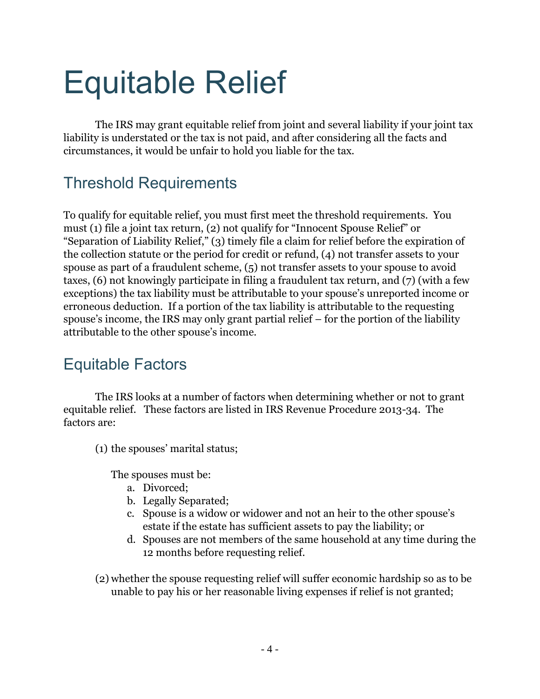# Equitable Relief

The IRS may grant equitable relief from joint and several liability if your joint tax liability is understated or the tax is not paid, and after considering all the facts and circumstances, it would be unfair to hold you liable for the tax.

### Threshold Requirements

To qualify for equitable relief, you must first meet the threshold requirements. You must (1) file a joint tax return, (2) not qualify for "Innocent Spouse Relief" or "Separation of Liability Relief," (3) timely file a claim for relief before the expiration of the collection statute or the period for credit or refund, (4) not transfer assets to your spouse as part of a fraudulent scheme, (5) not transfer assets to your spouse to avoid taxes, (6) not knowingly participate in filing a fraudulent tax return, and (7) (with a few exceptions) the tax liability must be attributable to your spouse's unreported income or erroneous deduction. If a portion of the tax liability is attributable to the requesting spouse's income, the IRS may only grant partial relief – for the portion of the liability attributable to the other spouse's income.

### Equitable Factors

The IRS looks at a number of factors when determining whether or not to grant equitable relief. These factors are listed in IRS Revenue Procedure 2013-34. The factors are:

(1) the spouses' marital status;

The spouses must be:

- a. Divorced;
- b. Legally Separated;
- c. Spouse is a widow or widower and not an heir to the other spouse's estate if the estate has sufficient assets to pay the liability; or
- d. Spouses are not members of the same household at any time during the 12 months before requesting relief.
- (2) whether the spouse requesting relief will suffer economic hardship so as to be unable to pay his or her reasonable living expenses if relief is not granted;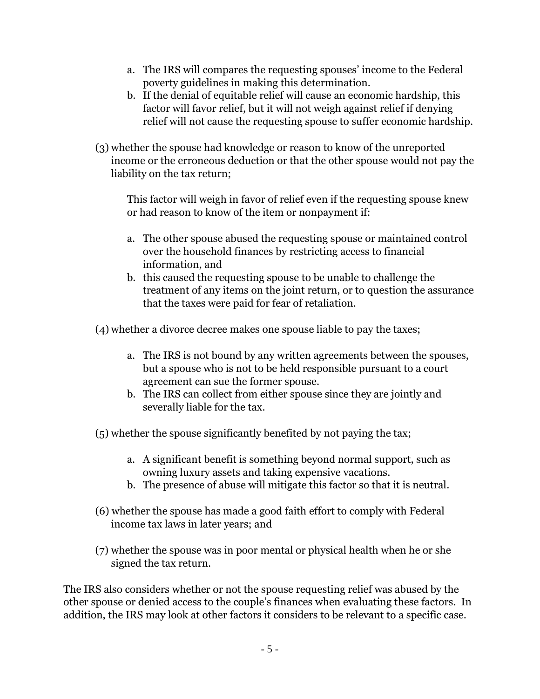- a. The IRS will compares the requesting spouses' income to the Federal poverty guidelines in making this determination.
- b. If the denial of equitable relief will cause an economic hardship, this factor will favor relief, but it will not weigh against relief if denying relief will not cause the requesting spouse to suffer economic hardship.
- (3) whether the spouse had knowledge or reason to know of the unreported income or the erroneous deduction or that the other spouse would not pay the liability on the tax return;

This factor will weigh in favor of relief even if the requesting spouse knew or had reason to know of the item or nonpayment if:

- a. The other spouse abused the requesting spouse or maintained control over the household finances by restricting access to financial information, and
- b. this caused the requesting spouse to be unable to challenge the treatment of any items on the joint return, or to question the assurance that the taxes were paid for fear of retaliation.

(4) whether a divorce decree makes one spouse liable to pay the taxes;

- a. The IRS is not bound by any written agreements between the spouses, but a spouse who is not to be held responsible pursuant to a court agreement can sue the former spouse.
- b. The IRS can collect from either spouse since they are jointly and severally liable for the tax.

(5) whether the spouse significantly benefited by not paying the tax;

- a. A significant benefit is something beyond normal support, such as owning luxury assets and taking expensive vacations.
- b. The presence of abuse will mitigate this factor so that it is neutral.
- (6) whether the spouse has made a good faith effort to comply with Federal income tax laws in later years; and
- (7) whether the spouse was in poor mental or physical health when he or she signed the tax return.

The IRS also considers whether or not the spouse requesting relief was abused by the other spouse or denied access to the couple's finances when evaluating these factors. In addition, the IRS may look at other factors it considers to be relevant to a specific case.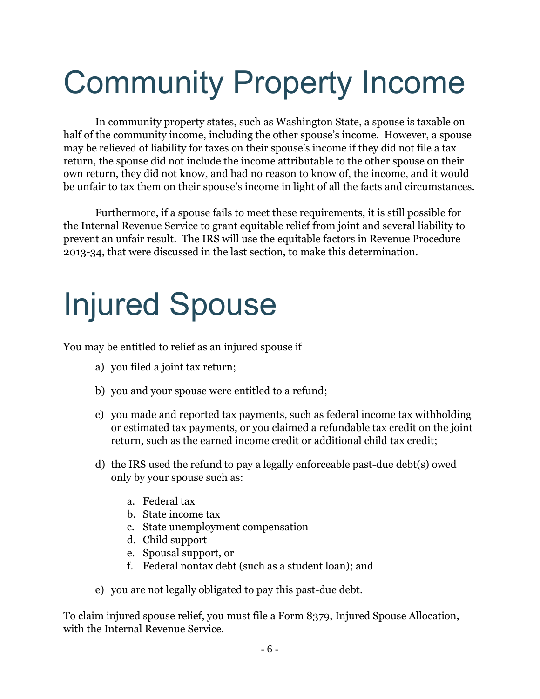# Community Property Income

In community property states, such as Washington State, a spouse is taxable on half of the community income, including the other spouse's income. However, a spouse may be relieved of liability for taxes on their spouse's income if they did not file a tax return, the spouse did not include the income attributable to the other spouse on their own return, they did not know, and had no reason to know of, the income, and it would be unfair to tax them on their spouse's income in light of all the facts and circumstances.

Furthermore, if a spouse fails to meet these requirements, it is still possible for the Internal Revenue Service to grant equitable relief from joint and several liability to prevent an unfair result. The IRS will use the equitable factors in Revenue Procedure 2013-34, that were discussed in the last section, to make this determination.

# Injured Spouse

You may be entitled to relief as an injured spouse if

- a) you filed a joint tax return;
- b) you and your spouse were entitled to a refund;
- c) you made and reported tax payments, such as federal income tax withholding or estimated tax payments, or you claimed a refundable tax credit on the joint return, such as the earned income credit or additional child tax credit;
- d) the IRS used the refund to pay a legally enforceable past-due debt(s) owed only by your spouse such as:
	- a. Federal tax
	- b. State income tax
	- c. State unemployment compensation
	- d. Child support
	- e. Spousal support, or
	- f. Federal nontax debt (such as a student loan); and
- e) you are not legally obligated to pay this past-due debt.

To claim injured spouse relief, you must file a Form 8379, Injured Spouse Allocation, with the Internal Revenue Service.